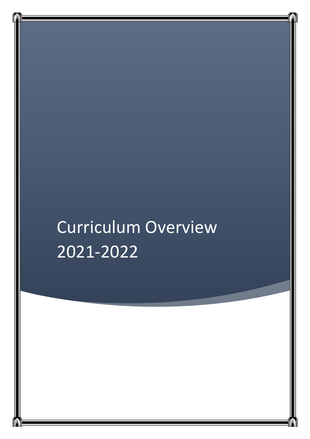# Curriculum Overview 2021-2022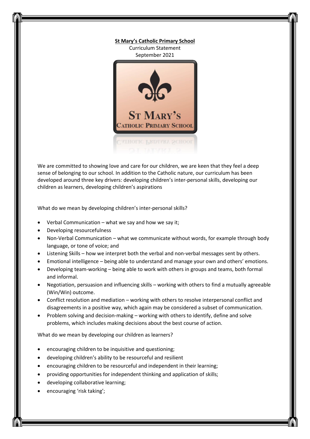

We are committed to showing love and care for our children, we are keen that they feel a deep sense of belonging to our school. In addition to the Catholic nature, our curriculum has been developed around three key drivers: developing children's inter-personal skills, developing our children as learners, developing children's aspirations

What do we mean by developing children's inter-personal skills?

- Verbal Communication what we say and how we say it;
- Developing resourcefulness
- Non-Verbal Communication what we communicate without words, for example through body language, or tone of voice; and
- Listening Skills how we interpret both the verbal and non-verbal messages sent by others.
- Emotional intelligence being able to understand and manage your own and others' emotions.
- Developing team-working being able to work with others in groups and teams, both formal and informal.
- Negotiation, persuasion and influencing skills working with others to find a mutually agreeable (Win/Win) outcome.
- Conflict resolution and mediation working with others to resolve interpersonal conflict and disagreements in a positive way, which again may be considered a subset of communication.
- Problem solving and decision-making working with others to identify, define and solve problems, which includes making decisions about the best course of action.

What do we mean by developing our children as learners?

- encouraging children to be inquisitive and questioning;
- developing children's ability to be resourceful and resilient
- encouraging children to be resourceful and independent in their learning;
- providing opportunities for independent thinking and application of skills;
- developing collaborative learning;
- encouraging 'risk taking';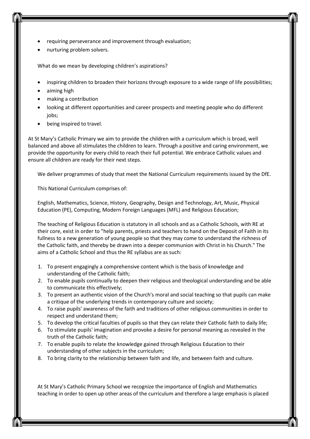- requiring perseverance and improvement through evaluation;
- nurturing problem solvers.

What do we mean by developing children's aspirations?

- inspiring children to broaden their horizons through exposure to a wide range of life possibilities;
- aiming high
- making a contribution
- looking at different opportunities and career prospects and meeting people who do different jobs;
- being inspired to travel.

At St Mary's Catholic Primary we aim to provide the children with a curriculum which is broad, well balanced and above all stimulates the children to learn. Through a positive and caring environment, we provide the opportunity for every child to reach their full potential. We embrace Catholic values and ensure all children are ready for their next steps.

We deliver programmes of study that meet the National Curriculum requirements issued by the DfE.

This National Curriculum comprises of:

English, Mathematics, Science, History, Geography, Design and Technology, Art, Music, Physical Education (PE), Computing, Modern Foreign Languages (MFL) and Religious Education;

The teaching of Religious Education is statutory in all schools and as a Catholic Schools, with RE at their core, exist in order to "help parents, priests and teachers to hand on the Deposit of Faith in its fullness to a new generation of young people so that they may come to understand the richness of the Catholic faith, and thereby be drawn into a deeper communion with Christ in his Church." The aims of a Catholic School and thus the RE syllabus are as such:

- 1. To present engagingly a comprehensive content which is the basis of knowledge and understanding of the Catholic faith;
- 2. To enable pupils continually to deepen their religious and theological understanding and be able to communicate this effectively;
- 3. To present an authentic vision of the Church's moral and social teaching so that pupils can make a critique of the underlying trends in contemporary culture and society;
- 4. To raise pupils' awareness of the faith and traditions of other religious communities in order to respect and understand them;
- 5. To develop the critical faculties of pupils so that they can relate their Catholic faith to daily life;
- 6. To stimulate pupils' imagination and provoke a desire for personal meaning as revealed in the truth of the Catholic faith;
- 7. To enable pupils to relate the knowledge gained through Religious Education to their understanding of other subjects in the curriculum;
- 8. To bring clarity to the relationship between faith and life, and between faith and culture.

At St Mary's Catholic Primary School we recognize the importance of English and Mathematics teaching in order to open up other areas of the curriculum and therefore a large emphasis is placed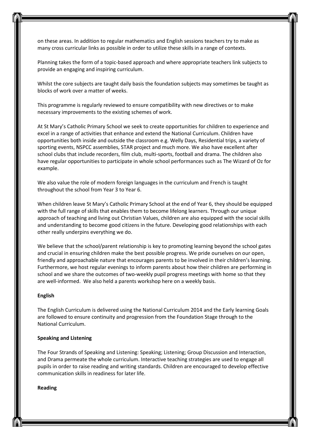on these areas. In addition to regular mathematics and English sessions teachers try to make as many cross curricular links as possible in order to utilize these skills in a range of contexts.

Planning takes the form of a topic-based approach and where appropriate teachers link subjects to provide an engaging and inspiring curriculum.

Whilst the core subjects are taught daily basis the foundation subjects may sometimes be taught as blocks of work over a matter of weeks.

This programme is regularly reviewed to ensure compatibility with new directives or to make necessary improvements to the existing schemes of work.

At St Mary's Catholic Primary School we seek to create opportunities for children to experience and excel in a range of activities that enhance and extend the National Curriculum. Children have opportunities both inside and outside the classroom e.g. Welly Days, Residential trips, a variety of sporting events, NSPCC assemblies, STAR project and much more. We also have excellent after school clubs that include recorders, film club, multi-sports, football and drama. The children also have regular opportunities to participate in whole school performances such as The Wizard of Oz for example.

We also value the role of modern foreign languages in the curriculum and French is taught throughout the school from Year 3 to Year 6.

When children leave St Mary's Catholic Primary School at the end of Year 6, they should be equipped with the full range of skills that enables them to become lifelong learners. Through our unique approach of teaching and living out Christian Values, children are also equipped with the social skills and understanding to become good citizens in the future. Developing good relationships with each other really underpins everything we do.

We believe that the school/parent relationship is key to promoting learning beyond the school gates and crucial in ensuring children make the best possible progress. We pride ourselves on our open, friendly and approachable nature that encourages parents to be involved in their children's learning. Furthermore, we host regular evenings to inform parents about how their children are performing in school and we share the outcomes of two-weekly pupil progress meetings with home so that they are well-informed. We also held a parents workshop here on a weekly basis.

# **English**

The English Curriculum is delivered using the National Curriculum 2014 and the Early learning Goals are followed to ensure continuity and progression from the Foundation Stage through to the National Curriculum.

#### **Speaking and Listening**

The Four Strands of Speaking and Listening: Speaking; Listening; Group Discussion and Interaction, and Drama permeate the whole curriculum. Interactive teaching strategies are used to engage all pupils in order to raise reading and writing standards. Children are encouraged to develop effective communication skills in readiness for later life.

**Reading**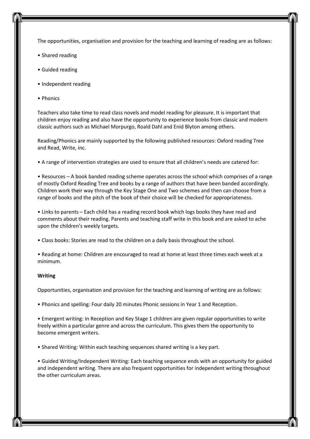The opportunities, organisation and provision for the teaching and learning of reading are as follows:

- Shared reading
- Guided reading
- Independent reading
- Phonics

Teachers also take time to read class novels and model reading for pleasure. It is important that children enjoy reading and also have the opportunity to experience books from classic and modern classic authors such as Michael Morpurgo, Roald Dahl and Enid Blyton among others.

Reading/Phonics are mainly supported by the following published resources: Oxford reading Tree and Read, Write, inc.

• A range of intervention strategies are used to ensure that all children's needs are catered for:

• Resources – A book banded reading scheme operates across the school which comprises of a range of mostly Oxford Reading Tree and books by a range of authors that have been banded accordingly. Children work their way through the Key Stage One and Two schemes and then can choose from a range of books and the pitch of the book of their choice will be checked for appropriateness.

• Links to parents – Each child has a reading record book which logs books they have read and comments about their reading. Parents and teaching staff write in this book and are asked to ache upon the children's weekly targets.

• Class books: Stories are read to the children on a daily basis throughout the school.

• Reading at home: Children are encouraged to read at home at least three times each week at a minimum.

#### **Writing**

Opportunities, organisation and provision for the teaching and learning of writing are as follows:

• Phonics and spelling: Four daily 20 minutes Phonic sessions in Year 1 and Reception.

• Emergent writing: In Reception and Key Stage 1 children are given regular opportunities to write freely within a particular genre and across the curriculum. This gives them the opportunity to become emergent writers.

• Shared Writing: Within each teaching sequences shared writing is a key part.

• Guided Writing/Independent Writing: Each teaching sequence ends with an opportunity for guided and independent writing. There are also frequent opportunities for independent writing throughout the other curriculum areas.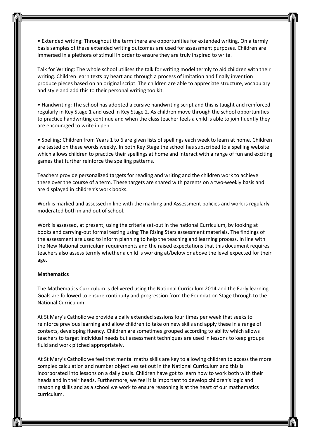• Extended writing: Throughout the term there are opportunities for extended writing. On a termly basis samples of these extended writing outcomes are used for assessment purposes. Children are immersed in a plethora of stimuli in order to ensure they are truly inspired to write.

Talk for Writing: The whole school utilises the talk for writing model termly to aid children with their writing. Children learn texts by heart and through a process of imitation and finally invention produce pieces based on an original script. The children are able to appreciate structure, vocabulary and style and add this to their personal writing toolkit.

• Handwriting: The school has adopted a cursive handwriting script and this is taught and reinforced regularly in Key Stage 1 and used in Key Stage 2. As children move through the school opportunities to practice handwriting continue and when the class teacher feels a child is able to join fluently they are encouraged to write in pen.

• Spelling: Children from Years 1 to 6 are given lists of spellings each week to learn at home. Children are tested on these words weekly. In both Key Stage the school has subscribed to a spelling website which allows children to practice their spellings at home and interact with a range of fun and exciting games that further reinforce the spelling patterns.

Teachers provide personalized targets for reading and writing and the children work to achieve these over the course of a term. These targets are shared with parents on a two-weekly basis and are displayed in children's work books.

Work is marked and assessed in line with the marking and Assessment policies and work is regularly moderated both in and out of school.

Work is assessed, at present, using the criteria set-out in the national Curriculum, by looking at books and carrying-out formal testing using The Rising Stars assessment materials. The findings of the assessment are used to inform planning to help the teaching and learning process. In line with the New National curriculum requirements and the raised expectations that this document requires teachers also assess termly whether a child is working at/below or above the level expected for their age.

#### **Mathematics**

The Mathematics Curriculum is delivered using the National Curriculum 2014 and the Early learning Goals are followed to ensure continuity and progression from the Foundation Stage through to the National Curriculum.

At St Mary's Catholic we provide a daily extended sessions four times per week that seeks to reinforce previous learning and allow children to take on new skills and apply these in a range of contexts, developing fluency. Children are sometimes grouped according to ability which allows teachers to target individual needs but assessment techniques are used in lessons to keep groups fluid and work pitched appropriately.

At St Mary's Catholic we feel that mental maths skills are key to allowing children to access the more complex calculation and number objectives set out in the National Curriculum and this is incorporated into lessons on a daily basis. Children have got to learn how to work both with their heads and in their heads. Furthermore, we feel it is important to develop children's logic and reasoning skills and as a school we work to ensure reasoning is at the heart of our mathematics curriculum.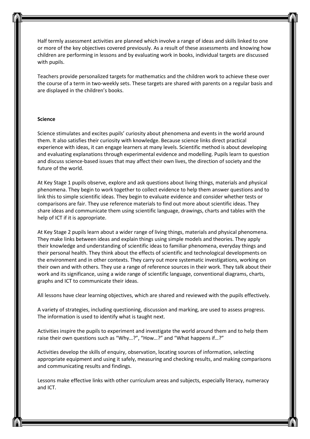Half termly assessment activities are planned which involve a range of ideas and skills linked to one or more of the key objectives covered previously. As a result of these assessments and knowing how children are performing in lessons and by evaluating work in books, individual targets are discussed with pupils.

Teachers provide personalized targets for mathematics and the children work to achieve these over the course of a term in two-weekly sets. These targets are shared with parents on a regular basis and are displayed in the children's books.

#### **Science**

Science stimulates and excites pupils' curiosity about phenomena and events in the world around them. It also satisfies their curiosity with knowledge. Because science links direct practical experience with ideas, it can engage learners at many levels. Scientific method is about developing and evaluating explanations through experimental evidence and modelling. Pupils learn to question and discuss science-based issues that may affect their own lives, the direction of society and the future of the world.

At Key Stage 1 pupils observe, explore and ask questions about living things, materials and physical phenomena. They begin to work together to collect evidence to help them answer questions and to link this to simple scientific ideas. They begin to evaluate evidence and consider whether tests or comparisons are fair. They use reference materials to find out more about scientific ideas. They share ideas and communicate them using scientific language, drawings, charts and tables with the help of ICT if it is appropriate.

At Key Stage 2 pupils learn about a wider range of living things, materials and physical phenomena. They make links between ideas and explain things using simple models and theories. They apply their knowledge and understanding of scientific ideas to familiar phenomena, everyday things and their personal health. They think about the effects of scientific and technological developments on the environment and in other contexts. They carry out more systematic investigations, working on their own and with others. They use a range of reference sources in their work. They talk about their work and its significance, using a wide range of scientific language, conventional diagrams, charts, graphs and ICT to communicate their ideas.

All lessons have clear learning objectives, which are shared and reviewed with the pupils effectively.

A variety of strategies, including questioning, discussion and marking, are used to assess progress. The information is used to identify what is taught next.

Activities inspire the pupils to experiment and investigate the world around them and to help them raise their own questions such as "Why…?", "How…?" and "What happens if…?"

Activities develop the skills of enquiry, observation, locating sources of information, selecting appropriate equipment and using it safely, measuring and checking results, and making comparisons and communicating results and findings.

Lessons make effective links with other curriculum areas and subjects, especially literacy, numeracy and ICT.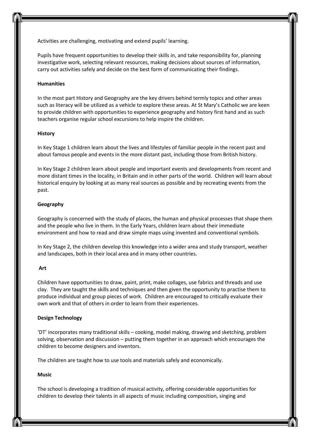Activities are challenging, motivating and extend pupils' learning.

Pupils have frequent opportunities to develop their skills in, and take responsibility for, planning investigative work, selecting relevant resources, making decisions about sources of information, carry out activities safely and decide on the best form of communicating their findings.

### **Humanities**

In the most part History and Geography are the key drivers behind termly topics and other areas such as literacy will be utilized as a vehicle to explore these areas. At St Mary's Catholic we are keen to provide children with opportunities to experience geography and history first hand and as such teachers organise regular school excursions to help inspire the children.

### **History**

In Key Stage 1 children learn about the lives and lifestyles of familiar people in the recent past and about famous people and events in the more distant past, including those from British history.

In Key Stage 2 children learn about people and important events and developments from recent and more distant times in the locality, in Britain and in other parts of the world. Children will learn about historical enquiry by looking at as many real sources as possible and by recreating events from the past.

# **Geography**

Geography is concerned with the study of places, the human and physical processes that shape them and the people who live in them. In the Early Years, children learn about their immediate environment and how to read and draw simple maps using invented and conventional symbols.

In Key Stage 2, the children develop this knowledge into a wider area and study transport, weather and landscapes, both in their local area and in many other countries.

#### **Art**

Children have opportunities to draw, paint, print, make collages, use fabrics and threads and use clay. They are taught the skills and techniques and then given the opportunity to practise them to produce individual and group pieces of work. Children are encouraged to critically evaluate their own work and that of others in order to learn from their experiences.

#### **Design Technology**

'DT' incorporates many traditional skills – cooking, model making, drawing and sketching, problem solving, observation and discussion – putting them together in an approach which encourages the children to become designers and inventors.

The children are taught how to use tools and materials safely and economically.

### **Music**

The school is developing a tradition of musical activity, offering considerable opportunities for children to develop their talents in all aspects of music including composition, singing and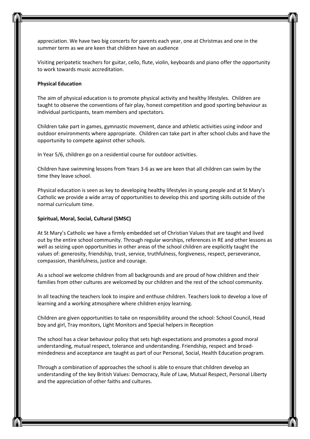appreciation. We have two big concerts for parents each year, one at Christmas and one in the summer term as we are keen that children have an audience

Visiting peripatetic teachers for guitar, cello, flute, violin, keyboards and piano offer the opportunity to work towards music accreditation.

### **Physical Education**

The aim of physical education is to promote physical activity and healthy lifestyles. Children are taught to observe the conventions of fair play, honest competition and good sporting behaviour as individual participants, team members and spectators.

Children take part in games, gymnastic movement, dance and athletic activities using indoor and outdoor environments where appropriate. Children can take part in after school clubs and have the opportunity to compete against other schools.

In Year 5/6, children go on a residential course for outdoor activities.

Children have swimming lessons from Years 3-6 as we are keen that all children can swim by the time they leave school.

Physical education is seen as key to developing healthy lifestyles in young people and at St Mary's Catholic we provide a wide array of opportunities to develop this and sporting skills outside of the normal curriculum time.

#### **Spiritual, Moral, Social, Cultural (SMSC)**

At St Mary's Catholic we have a firmly embedded set of Christian Values that are taught and lived out by the entire school community. Through regular worships, references in RE and other lessons as well as seizing upon opportunities in other areas of the school children are explicitly taught the values of: generosity, friendship, trust, service, truthfulness, forgiveness, respect, perseverance, compassion, thankfulness, justice and courage.

As a school we welcome children from all backgrounds and are proud of how children and their families from other cultures are welcomed by our children and the rest of the school community.

In all teaching the teachers look to inspire and enthuse children. Teachers look to develop a love of learning and a working atmosphere where children enjoy learning.

Children are given opportunities to take on responsibility around the school: School Council, Head boy and girl, Tray monitors, Light Monitors and Special helpers in Reception

The school has a clear behaviour policy that sets high expectations and promotes a good moral understanding, mutual respect, tolerance and understanding. Friendship, respect and broadmindedness and acceptance are taught as part of our Personal, Social, Health Education program.

Through a combination of approaches the school is able to ensure that children develop an understanding of the key British Values: Democracy, Rule of Law, Mutual Respect, Personal Liberty and the appreciation of other faiths and cultures.